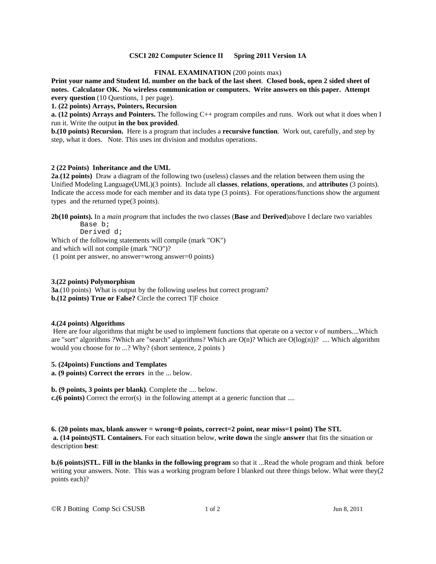#### **CSCI 202 Computer Science II Spring 2011 Version 1A**

## **FINAL EXAMINATION (200 points max)**

**Print your name and Student Id. number on the back of the last sheet**. **Closed book, open 2 sided sheet of notes. Calculator OK. No wireless communication or computers. Write answers on this paper. Attempt every question** (10 Questions, 1 per page).

**1. (22 points) Arrays, Pointers, Recursion**

**a. (12 points) Arrays and Pointers.** The following C++ program compiles and runs. Work out what it does when I run it. Write the output **in the box provided**.

**b.(10 points) Recursion.** Here is a program that includes a **recursive function**. Work out, carefully, and step by step, what it does. Note. This uses int division and modulus operations.

## **2 (22 Points) Inheritance and the UML**

**2a**.**(12 points)** Draw a diagram of the following two (useless) classes and the relation between them using the Unified Modeling Language(UML)(3 points). Include all **classes**, **relations**, **operations**, and **attributes** (3 points). Indicate the access mode for each member and its data type (3 points). For operations/functions show the argument types and the returned type(3 points).

**2b(10 points).** In a *main program* that includes the two classes (**Base** and **Derived**)above I declare two variables Base b;

Derived d; Which of the following statements will compile (mark "OK")

and which will not compile (mark "NO")?

(1 point per answer, no answer=wrong answer=0 points)

#### **3.(22 points) Polymorphism**

**3a**.(10 points) What is output by the following useless but correct program? **b.(12 points) True or False?** Circle the correct T|F choice

#### **4.(24 points) Algorithms**

Here are four algorithms that might be used to implement functions that operate on a vector  $\nu$  of numbers....Which are "sort" algorithms ?Which are "search" algorithms? Which are  $O(n)$ ? Which are  $O(log(n))$ ? .... Which algorithm would you choose for *to ...*? Why? (short sentence, 2 points )

#### **5. (24points) Functions and Templates**

**a. (9 points) Correct the errors** in the ... below.

**b. (9 points, 3 points per blank)**. Complete the .... below.

**c.(6 points)** Correct the error(s) in the following attempt at a generic function that ....

**6. (20 points max, blank answer = wrong=0 points, correct=2 point, near miss=1 point) The STL a. (14 points)STL Containers.** For each situation below, **write down** the single **answer** that fits the situation or description **best**:

**b.(6 points)STL. Fill in the blanks in the following program** so that it ...Read the whole program and think before writing your answers. Note. This was a working program before I blanked out three things below. What were they(2) points each)?